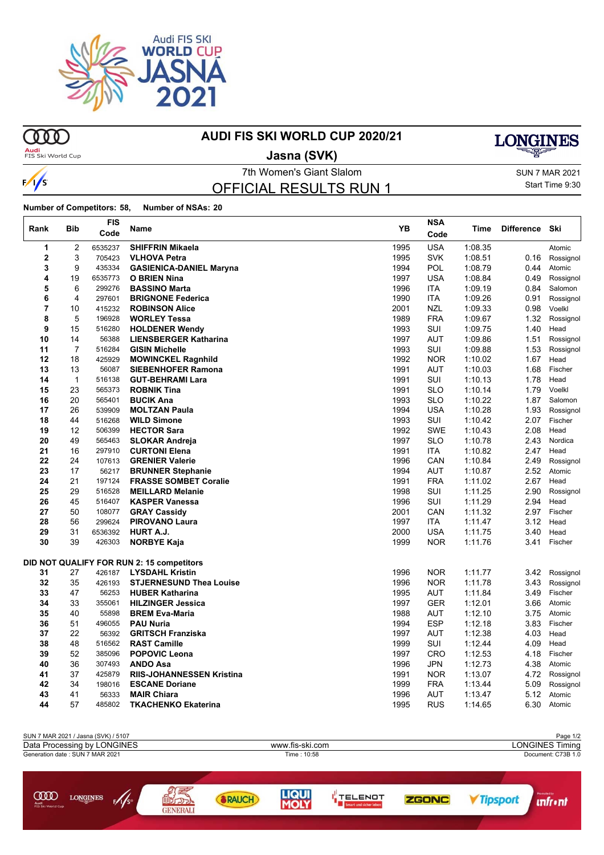

**OOO** 

 $\frac{1}{s}$ 

 $\mathsf{r}$ 

## **AUDI FIS SKI WORLD CUP 2020/21**

**Audi**<br>FIS Ski World Cup

**Jasna (SVK)**

**LONGINES** 

7th Women's Giant Slalom Sun 7 MAR 2021 OFFICIAL RESULTS RUN 1

Start Time 9:30

**Number of Competitors: 58, Number of NSAs: 20**

GENERALI

| Rank           | <b>Bib</b>   | <b>FIS</b><br>Code | Name                                      | YB           | <b>NSA</b><br>Code | Time               | <b>Difference</b> | Ski       |
|----------------|--------------|--------------------|-------------------------------------------|--------------|--------------------|--------------------|-------------------|-----------|
| 1              | 2            | 6535237            | <b>SHIFFRIN Mikaela</b>                   | 1995         | <b>USA</b>         | 1:08.35            |                   | Atomic    |
| $\overline{2}$ | 3            | 705423             | <b>VLHOVA Petra</b>                       | 1995         | <b>SVK</b>         | 1:08.51            | 0.16              | Rossignol |
| 3              | 9            | 435334             | <b>GASIENICA-DANIEL Maryna</b>            | 1994         | POL                | 1:08.79            | 0.44              | Atomic    |
| 4              | 19           | 6535773            | <b>O BRIEN Nina</b>                       | 1997         | <b>USA</b>         | 1:08.84            | 0.49              | Rossignol |
| 5              | 6            | 299276             | <b>BASSINO Marta</b>                      | 1996         | <b>ITA</b>         | 1:09.19            | 0.84              | Salomon   |
| 6              | 4            | 297601             | <b>BRIGNONE Federica</b>                  | 1990         | <b>ITA</b>         | 1:09.26            | 0.91              | Rossignol |
| 7              | 10           | 415232             | <b>ROBINSON Alice</b>                     | 2001         | <b>NZL</b>         | 1:09.33            | 0.98              | Voelkl    |
| 8              | 5            | 196928             | <b>WORLEY Tessa</b>                       | 1989         | <b>FRA</b>         | 1:09.67            | 1.32              | Rossignol |
| 9              | 15           | 516280             | <b>HOLDENER Wendy</b>                     | 1993         | SUI                | 1:09.75            | 1.40              | Head      |
| 10             | 14           | 56388              | <b>LIENSBERGER Katharina</b>              | 1997         | AUT                | 1:09.86            | 1.51              | Rossignol |
| 11             | 7            | 516284             | <b>GISIN Michelle</b>                     | 1993         | SUI                | 1:09.88            | 1.53              | Rossignol |
| 12             | 18           | 425929             | <b>MOWINCKEL Ragnhild</b>                 | 1992         | <b>NOR</b>         | 1:10.02            | 1.67              | Head      |
| 13             | 13           | 56087              | <b>SIEBENHOFER Ramona</b>                 | 1991         | AUT                | 1:10.03            | 1.68              | Fischer   |
| 14             | $\mathbf{1}$ | 516138             | <b>GUT-BEHRAMI Lara</b>                   | 1991         | SUI                | 1:10.13            | 1.78              | Head      |
| 15             | 23           | 565373             | <b>ROBNIK Tina</b>                        | 1991         | <b>SLO</b>         | 1:10.14            | 1.79              | Voelkl    |
| 16             | 20           | 565401             | <b>BUCIK Ana</b>                          | 1993         | <b>SLO</b>         | 1:10.22            | 1.87              | Salomon   |
| 17             | 26           | 539909             | <b>MOLTZAN Paula</b>                      | 1994         | <b>USA</b>         | 1:10.28            | 1.93              | Rossignol |
| 18             | 44           | 516268             | <b>WILD Simone</b>                        | 1993         | SUI                | 1:10.42            | 2.07              | Fischer   |
| 19             | 12           | 506399             | <b>HECTOR Sara</b>                        | 1992         | <b>SWE</b>         | 1:10.43            | 2.08              | Head      |
| 20             | 49           | 565463             | <b>SLOKAR Andreja</b>                     | 1997         | <b>SLO</b>         | 1:10.78            | 2.43              | Nordica   |
| 21             | 16           | 297910             | <b>CURTONI Elena</b>                      | 1991         | <b>ITA</b>         | 1:10.82            | 2.47              | Head      |
| 22             | 24           | 107613             | <b>GRENIER Valerie</b>                    | 1996         | CAN                | 1:10.84            | 2.49              | Rossignol |
| 23             | 17           | 56217              | <b>BRUNNER Stephanie</b>                  | 1994         | <b>AUT</b>         | 1:10.87            | 2.52              | Atomic    |
| 24             | 21           | 197124             | <b>FRASSE SOMBET Coralie</b>              | 1991         | <b>FRA</b>         | 1:11.02            | 2.67              | Head      |
| 25             | 29           | 516528             | <b>MEILLARD Melanie</b>                   | 1998         | SUI                | 1:11.25            | 2.90              | Rossignol |
| 26             | 45           | 516407             | <b>KASPER Vanessa</b>                     | 1996         | SUI                | 1:11.29            | 2.94              | Head      |
| 27             | 50           | 108077             | <b>GRAY Cassidy</b>                       | 2001         | CAN                | 1:11.32            | 2.97              | Fischer   |
| 28<br>29       | 56           | 299624             | <b>PIROVANO Laura</b>                     | 1997         | <b>ITA</b>         | 1:11.47            | 3.12              | Head      |
| 30             | 31<br>39     | 6536392            | <b>HURT A.J.</b>                          | 2000<br>1999 | <b>USA</b>         | 1:11.75<br>1:11.76 | 3.40              | Head      |
|                |              | 426303             | <b>NORBYE Kaja</b>                        |              | <b>NOR</b>         |                    | 3.41              | Fischer   |
|                |              |                    | DID NOT QUALIFY FOR RUN 2: 15 competitors |              |                    |                    |                   |           |
| 31             | 27           | 426187             | <b>LYSDAHL Kristin</b>                    | 1996         | <b>NOR</b>         | 1:11.77            | 3.42              | Rossignol |
| 32             | 35           | 426193             | <b>STJERNESUND Thea Louise</b>            | 1996         | <b>NOR</b>         | 1:11.78            | 3.43              | Rossignol |
| 33             | 47           | 56253              | <b>HUBER Katharina</b>                    | 1995         | AUT                | 1:11.84            | 3.49              | Fischer   |
| 34             | 33           | 355061             | <b>HILZINGER Jessica</b>                  | 1997         | <b>GER</b>         | 1:12.01            | 3.66              | Atomic    |
| 35             | 40           | 55898              | <b>BREM Eva-Maria</b>                     | 1988         | AUT                | 1:12.10            | 3.75              | Atomic    |
| 36             | 51           | 496055             | <b>PAU Nuria</b>                          | 1994         | <b>ESP</b>         | 1:12.18            | 3.83              | Fischer   |
| 37             | 22           | 56392              | <b>GRITSCH Franziska</b>                  | 1997         | AUT                | 1:12.38            | 4.03              | Head      |
| 38             | 48           | 516562             | <b>RAST Camille</b>                       | 1999         | SUI                | 1:12.44            | 4.09              | Head      |
| 39             | 52           | 385096             | <b>POPOVIC Leona</b>                      | 1997         | <b>CRO</b>         | 1:12.53            | 4.18              | Fischer   |
| 40             | 36           | 307493             | <b>ANDO Asa</b>                           | 1996         | <b>JPN</b>         | 1:12.73            | 4.38              | Atomic    |
| 41             | 37           | 425879             | <b>RIIS-JOHANNESSEN Kristina</b>          | 1991         | <b>NOR</b>         | 1:13.07            | 4.72              | Rossignol |
| 42             | 34           | 198016             | <b>ESCANE Doriane</b>                     | 1999         | <b>FRA</b>         | 1:13.44            | 5.09              | Rossignol |
| 43             | 41           | 56333              | <b>MAIR Chiara</b>                        | 1996         | AUT                | 1:13.47            | 5.12              | Atomic    |
| 44             | 57           | 485802             | <b>TKACHENKO Ekaterina</b>                | 1995         | <b>RUS</b>         | 1:14.65            | 6.30              | Atomic    |

| SUN 7 MAR 2021 / Jasna (SVK) / 5107<br>Data Processing by LONGINES<br>Generation date: SUN 7 MAR 2021 |                            |              | www.fis-ski.com<br>Time: 10:58 |                                          | Page 1/2<br><b>LONGINES Timing</b><br>Document: C73B 1.0 |  |                       |  |  |
|-------------------------------------------------------------------------------------------------------|----------------------------|--------------|--------------------------------|------------------------------------------|----------------------------------------------------------|--|-----------------------|--|--|
|                                                                                                       |                            |              |                                |                                          |                                                          |  |                       |  |  |
| œ<br>LONGINES<br>f/1/s<br>Audi<br>FIS Ski World Cup                                                   | 国立のつ<br>CANNA THREE 4 W.W. | <b>RAUCH</b> | <b>LIQUI</b>                   | <b>TELENOT</b><br>Smart und sicher leber | <b>ZGONC</b>                                             |  | Promoted by<br>nfr•nt |  |  |

**MOLY**